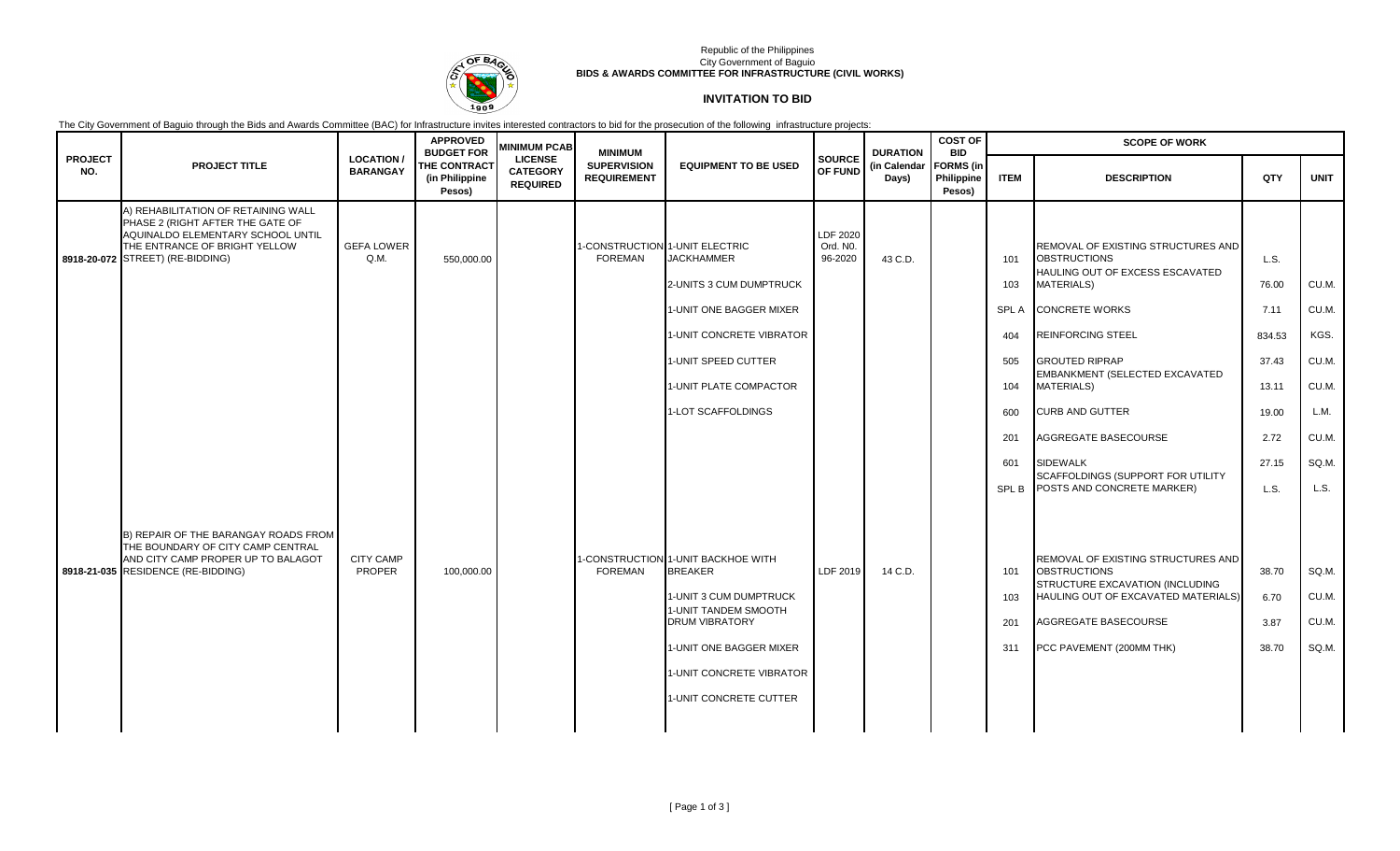

### Republic of the Philippines City Government of Baguio **BIDS & AWARDS COMMITTEE FOR INFRASTRUCTURE (CIVIL WORKS)**

# **INVITATION TO BID**

The City Government of Baguio through the Bids and Awards Committee (BAC) for Infrastructure invites interested contractors to bid for the prosecution of the following infrastructure projects:

|                       |                                                                                                                                                                                   | <b>APPROVED</b><br><b>MINIMUM PCAB</b><br><b>BUDGET FOR</b> |                                                 | <b>MINIMUM</b>                                       |                                          | <b>DURATION</b>                                                                                                                                                                                                 | <b>COST OF</b><br><b>BID</b>    | <b>SCOPE OF WORK</b>  |                                          |                                  |                                                                                                                                                                                         |                                 |                                  |
|-----------------------|-----------------------------------------------------------------------------------------------------------------------------------------------------------------------------------|-------------------------------------------------------------|-------------------------------------------------|------------------------------------------------------|------------------------------------------|-----------------------------------------------------------------------------------------------------------------------------------------------------------------------------------------------------------------|---------------------------------|-----------------------|------------------------------------------|----------------------------------|-----------------------------------------------------------------------------------------------------------------------------------------------------------------------------------------|---------------------------------|----------------------------------|
| <b>PROJECT</b><br>NO. | <b>PROJECT TITLE</b>                                                                                                                                                              | <b>LOCATION</b><br><b>BARANGAY</b>                          | <b>THE CONTRACT</b><br>(in Philippine<br>Pesos) | <b>LICENSE</b><br><b>CATEGORY</b><br><b>REQUIRED</b> | <b>SUPERVISION</b><br><b>REQUIREMENT</b> | <b>EQUIPMENT TO BE USED</b>                                                                                                                                                                                     | <b>SOURCE</b><br>OF FUND        | (in Calendar<br>Days) | <b>FORMS</b> (in<br>Philippine<br>Pesos) | <b>ITEM</b>                      | <b>DESCRIPTION</b>                                                                                                                                                                      | QTY                             | <b>UNIT</b>                      |
|                       | A) REHABILITATION OF RETAINING WALL<br>PHASE 2 (RIGHT AFTER THE GATE OF<br>AQUINALDO ELEMENTARY SCHOOL UNTIL<br>THE ENTRANCE OF BRIGHT YELLOW<br>8918-20-072 STREET) (RE-BIDDING) | <b>GEFA LOWER</b><br>Q.M.                                   | 550,000.00                                      |                                                      | FOREMAN                                  | -CONSTRUCTION 1-UNIT ELECTRIC<br><b>JACKHAMMER</b><br>2-UNITS 3 CUM DUMPTRUCK<br>1-UNIT ONE BAGGER MIXER<br>1-UNIT CONCRETE VIBRATOR                                                                            | LDF 2020<br>Ord. NO.<br>96-2020 | 43 C.D.               |                                          | 101<br>103<br><b>SPLA</b><br>404 | REMOVAL OF EXISTING STRUCTURES AND<br><b>OBSTRUCTIONS</b><br>HAULING OUT OF EXCESS ESCAVATED<br><b>MATERIALS)</b><br><b>CONCRETE WORKS</b><br><b>REINFORCING STEEL</b>                  | L.S.<br>76.00<br>7.11<br>834.53 | CU.M.<br>CU.M.<br>KGS.           |
|                       |                                                                                                                                                                                   |                                                             |                                                 |                                                      |                                          | 1-UNIT SPEED CUTTER<br>1-UNIT PLATE COMPACTOR                                                                                                                                                                   |                                 |                       |                                          | 505<br>104                       | <b>GROUTED RIPRAP</b><br>EMBANKMENT (SELECTED EXCAVATED<br><b>MATERIALS)</b>                                                                                                            | 37.43<br>13.11                  | CU.M.<br>CU.M.                   |
|                       |                                                                                                                                                                                   |                                                             |                                                 |                                                      |                                          | 1-LOT SCAFFOLDINGS                                                                                                                                                                                              |                                 |                       |                                          | 600<br>201                       | <b>CURB AND GUTTER</b><br>AGGREGATE BASECOURSE                                                                                                                                          | 19.00<br>2.72                   | L.M.<br>CU.M.                    |
|                       |                                                                                                                                                                                   |                                                             |                                                 |                                                      |                                          |                                                                                                                                                                                                                 |                                 |                       |                                          | 601<br><b>SPLB</b>               | <b>SIDEWALK</b><br>SCAFFOLDINGS (SUPPORT FOR UTILITY<br>POSTS AND CONCRETE MARKER)                                                                                                      | 27.15<br>L.S.                   | SQ.M.<br>L.S.                    |
|                       | B) REPAIR OF THE BARANGAY ROADS FROM<br>THE BOUNDARY OF CITY CAMP CENTRAL<br>AND CITY CAMP PROPER UP TO BALAGOT<br>8918-21-035 RESIDENCE (RE-BIDDING)                             | <b>CITY CAMP</b><br>PROPER                                  | 100,000.00                                      |                                                      | <b>FOREMAN</b>                           | -CONSTRUCTION 1-UNIT BACKHOE WITH<br><b>BREAKER</b><br>1-UNIT 3 CUM DUMPTRUCK<br>1-UNIT TANDEM SMOOTH<br><b>DRUM VIBRATORY</b><br>1-UNIT ONE BAGGER MIXER<br>1-UNIT CONCRETE VIBRATOR<br>1-UNIT CONCRETE CUTTER | LDF 2019                        | 14 C.D.               |                                          | 101<br>103<br>201<br>311         | REMOVAL OF EXISTING STRUCTURES AND<br><b>OBSTRUCTIONS</b><br>STRUCTURE EXCAVATION (INCLUDING<br>HAULING OUT OF EXCAVATED MATERIALS)<br>AGGREGATE BASECOURSE<br>PCC PAVEMENT (200MM THK) | 38.70<br>6.70<br>3.87<br>38.70  | SQ.M.<br>CU.M.<br>CU.M.<br>SQ.M. |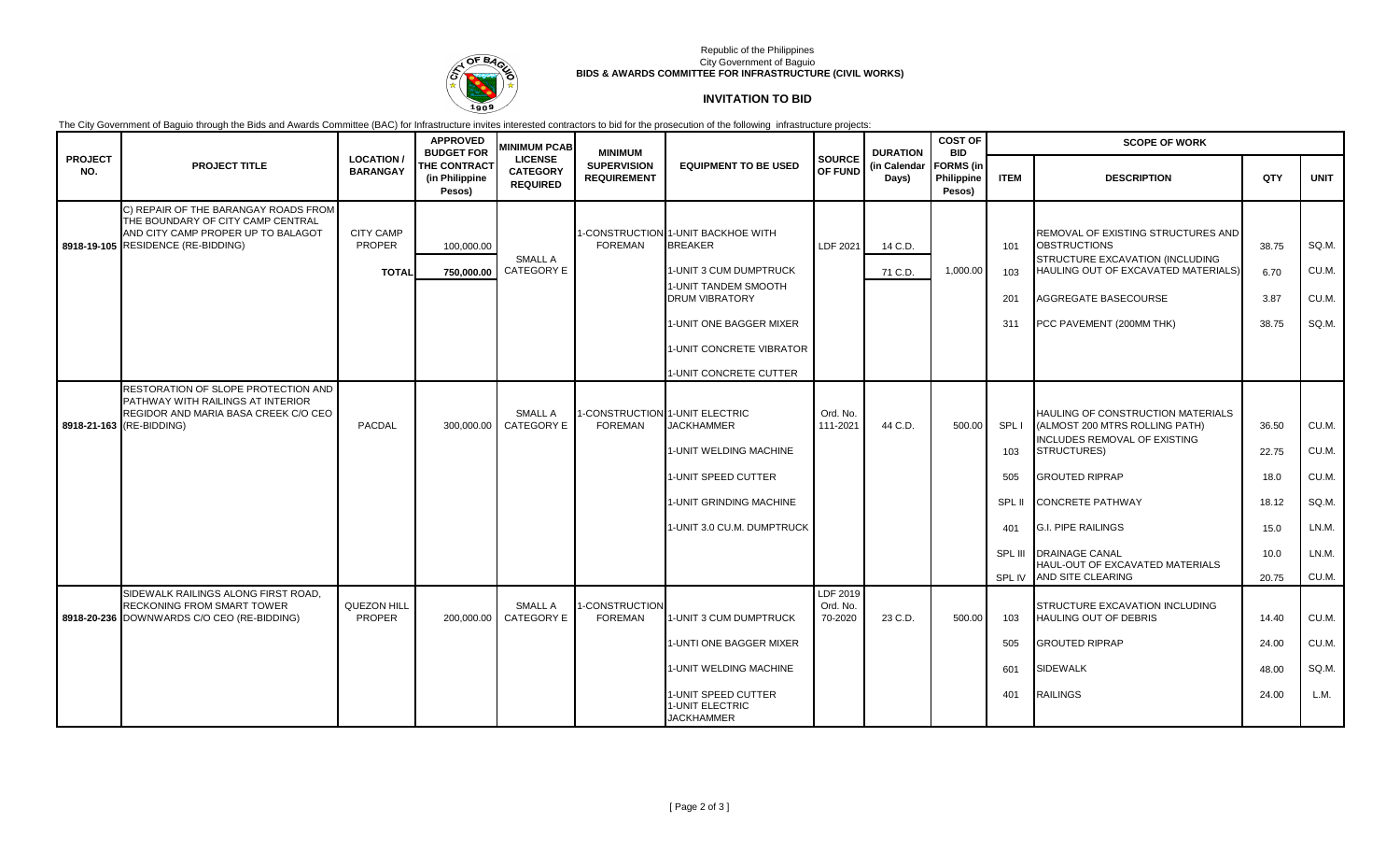

### Republic of the Philippines City Government of Baguio **BIDS & AWARDS COMMITTEE FOR INFRASTRUCTURE (CIVIL WORKS)**

# **INVITATION TO BID**

The City Government of Baguio through the Bids and Awards Committee (BAC) for Infrastructure invites interested contractors to bid for the prosecution of the following infrastructure projects:

|                       |                                                                                                                  |                                    | <b>APPROVED</b><br><b>BUDGET FOR</b>            | <b>MINIMUM PCAB</b>                                  | <b>MINIMUM</b>                           |                                                             |                                 | <b>DURATION</b><br>(in Calendar<br>Days) | <b>COST OF</b><br><b>BID</b>             | <b>SCOPE OF WORK</b> |                                                                                                     |       |             |  |
|-----------------------|------------------------------------------------------------------------------------------------------------------|------------------------------------|-------------------------------------------------|------------------------------------------------------|------------------------------------------|-------------------------------------------------------------|---------------------------------|------------------------------------------|------------------------------------------|----------------------|-----------------------------------------------------------------------------------------------------|-------|-------------|--|
| <b>PROJECT</b><br>NO. | <b>PROJECT TITLE</b>                                                                                             | <b>LOCATION</b><br><b>BARANGAY</b> | <b>THE CONTRACT</b><br>(in Philippine<br>Pesos) | <b>LICENSE</b><br><b>CATEGORY</b><br><b>REQUIRED</b> | <b>SUPERVISION</b><br><b>REQUIREMENT</b> | <b>EQUIPMENT TO BE USED</b>                                 | <b>SOURCE</b><br>OF FUND        |                                          | <b>FORMS</b> (in<br>Philippine<br>Pesos) | <b>ITEM</b>          | <b>DESCRIPTION</b>                                                                                  | QTY   | <b>UNIT</b> |  |
|                       | C) REPAIR OF THE BARANGAY ROADS FROM<br>THE BOUNDARY OF CITY CAMP CENTRAL                                        |                                    |                                                 |                                                      |                                          |                                                             |                                 |                                          |                                          |                      |                                                                                                     |       |             |  |
|                       | AND CITY CAMP PROPER UP TO BALAGOT<br>8918-19-105 RESIDENCE (RE-BIDDING)                                         | <b>CITY CAMP</b><br><b>PROPER</b>  | 100,000.00                                      | <b>SMALL A</b>                                       | <b>FOREMAN</b>                           | 1-CONSTRUCTION 1-UNIT BACKHOE WITH<br><b>BREAKER</b>        | LDF 2021                        | 14 C.D.                                  |                                          | 101                  | <b>REMOVAL OF EXISTING STRUCTURES AND</b><br><b>OBSTRUCTIONS</b><br>STRUCTURE EXCAVATION (INCLUDING | 38.75 | SQ.M.       |  |
|                       |                                                                                                                  | <b>TOTAL</b>                       | 750,000.00                                      | <b>CATEGORY E</b>                                    |                                          | 1-UNIT 3 CUM DUMPTRUCK                                      |                                 | 71 C.D.                                  | 1,000.00                                 | 103                  | HAULING OUT OF EXCAVATED MATERIALS)                                                                 | 6.70  | CU.M.       |  |
|                       |                                                                                                                  |                                    |                                                 |                                                      |                                          | 1-UNIT TANDEM SMOOTH<br><b>DRUM VIBRATORY</b>               |                                 |                                          |                                          | 201                  | AGGREGATE BASECOURSE                                                                                | 3.87  | CU.M.       |  |
|                       |                                                                                                                  |                                    |                                                 |                                                      |                                          | 1-UNIT ONE BAGGER MIXER                                     |                                 |                                          |                                          | 311                  | PCC PAVEMENT (200MM THK)                                                                            | 38.75 | SQ.M.       |  |
|                       |                                                                                                                  |                                    |                                                 |                                                      |                                          | 1-UNIT CONCRETE VIBRATOR                                    |                                 |                                          |                                          |                      |                                                                                                     |       |             |  |
|                       |                                                                                                                  |                                    |                                                 |                                                      |                                          | 1-UNIT CONCRETE CUTTER                                      |                                 |                                          |                                          |                      |                                                                                                     |       |             |  |
|                       | RESTORATION OF SLOPE PROTECTION AND<br>PATHWAY WITH RAILINGS AT INTERIOR<br>REGIDOR AND MARIA BASA CREEK C/O CEO |                                    |                                                 | <b>SMALL A</b>                                       |                                          | -CONSTRUCTION 1-UNIT ELECTRIC                               | Ord. No.                        |                                          |                                          |                      | HAULING OF CONSTRUCTION MATERIALS                                                                   |       |             |  |
|                       | 8918-21-163 (RE-BIDDING)                                                                                         | PACDAL                             | 300.000.00                                      | CATEGORY E                                           | <b>FOREMAN</b>                           | <b>JACKHAMMER</b>                                           | 111-2021                        | 44 C.D.                                  | 500.00                                   | SPL I                | (ALMOST 200 MTRS ROLLING PATH)<br>INCLUDES REMOVAL OF EXISTING                                      | 36.50 | CU.M.       |  |
|                       |                                                                                                                  |                                    |                                                 |                                                      |                                          | 1-UNIT WELDING MACHINE                                      |                                 |                                          |                                          | 103                  | <b>STRUCTURES)</b>                                                                                  | 22.75 | CU.M.       |  |
|                       |                                                                                                                  |                                    |                                                 |                                                      |                                          | 1-UNIT SPEED CUTTER                                         |                                 |                                          |                                          | 505                  | <b>GROUTED RIPRAP</b>                                                                               | 18.0  | CU.M.       |  |
|                       |                                                                                                                  |                                    |                                                 |                                                      |                                          | 1-UNIT GRINDING MACHINE                                     |                                 |                                          |                                          | SPL II               | <b>CONCRETE PATHWAY</b>                                                                             | 18.12 | SQ.M.       |  |
|                       |                                                                                                                  |                                    |                                                 |                                                      |                                          | 1-UNIT 3.0 CU.M. DUMPTRUCK                                  |                                 |                                          |                                          | 401                  | <b>G.I. PIPE RAILINGS</b>                                                                           | 15.0  | LN.M.       |  |
|                       |                                                                                                                  |                                    |                                                 |                                                      |                                          |                                                             |                                 |                                          |                                          | SPL III              | <b>DRAINAGE CANAL</b><br>HAUL-OUT OF EXCAVATED MATERIALS                                            | 10.0  | LN.M.       |  |
|                       |                                                                                                                  |                                    |                                                 |                                                      |                                          |                                                             |                                 |                                          |                                          | SPL IV               | <b>AND SITE CLEARING</b>                                                                            | 20.75 | CU.M.       |  |
|                       | SIDEWALK RAILINGS ALONG FIRST ROAD,<br>RECKONING FROM SMART TOWER<br>8918-20-236 DOWNWARDS C/O CEO (RE-BIDDING)  | QUEZON HILL<br><b>PROPER</b>       | 200.000.00                                      | <b>SMALL A</b><br>CATEGORY E                         | -CONSTRUCTION<br><b>FOREMAN</b>          | 1-UNIT 3 CUM DUMPTRUCK                                      | LDF 2019<br>Ord. No.<br>70-2020 | 23 C.D.                                  | 500.00                                   | 103                  | STRUCTURE EXCAVATION INCLUDING<br><b>HAULING OUT OF DEBRIS</b>                                      | 14.40 | CU.M.       |  |
|                       |                                                                                                                  |                                    |                                                 |                                                      |                                          | 1-UNTI ONE BAGGER MIXER                                     |                                 |                                          |                                          | 505                  | <b>GROUTED RIPRAP</b>                                                                               | 24.00 | CU.M.       |  |
|                       |                                                                                                                  |                                    |                                                 |                                                      |                                          | 1-UNIT WELDING MACHINE                                      |                                 |                                          |                                          | 601                  | <b>SIDEWALK</b>                                                                                     | 48.00 | SQ.M.       |  |
|                       |                                                                                                                  |                                    |                                                 |                                                      |                                          | 1-UNIT SPEED CUTTER<br>1-UNIT ELECTRIC<br><b>JACKHAMMER</b> |                                 |                                          |                                          | 401                  | <b>RAILINGS</b>                                                                                     | 24.00 | L.M.        |  |